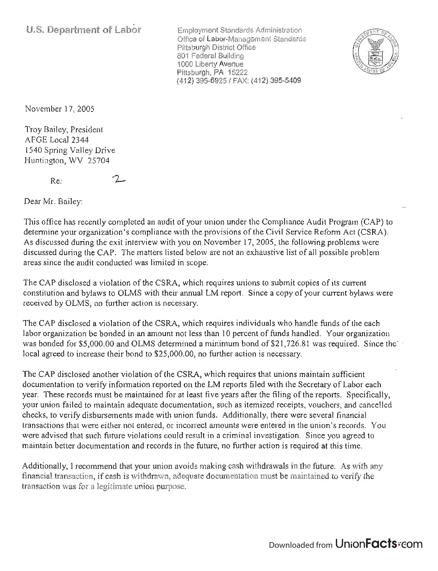**U.S. Department of Labor** 

Employment Standards Administration Office of Labor-Management Standards Pittsburgh District Office 801 Federal Building 1000 Liberty Avenue Pittsburgh, PA 15222 (412) 395-6925 / FAX: (412) 395-5409



November 17,2005

Troy Bailey, President AFGE Local 2344 1540 Spring Valley Drive Huntington, WV 25704

Re:

 $\mathcal{L}$ 

Dear Mr. Bailey:

This office has recently completed an audit of your union under the Compliance Audit Program (CAP) to determine your organization's compliance with the provisions of the Civil Service Reform Act (CSRA). As discussed during the exit interview with you on November 17, 2005, the following problems were discussed during the CAP. The matters listed below are not an exhaustive list of all possible problem areas since the audit conducted was limited in scope.

The CAP disclosed a violation of the CSRA, which requires unions to submit copies of its current constitution and bylaws to OLMS with their annual LM report. Since a copy of your current bylaws were received by OLMS, no further action is necessary.

The CAP disclosed a violation of the CSRA, which requires individuals who handle funds of the each labor organization be bonded in an amount not less than 10 percent of funds handled. Your organization was bonded for \$5,000.00 and OLMS determined a minimum bond of \$21,726.81 was required. Since the<sup>-</sup>local agreed to increase their bond to \$25,000.00, no further action is necessary.

The CAP disclosed another violation of the CSRA, which requires that unions maintain sufficient documentation to verify information reported on the LM reports filed with the Secretary of Labor each year. These records must be maintained for at least five years after the filing of the reports. Specifically, your union failed to maintain adequate documentation, such as itemized receipts, vouchers, and cancelled checks, to verify disbursements made with union funds. Additionally, there were several financial transactions that were either not entered, or incorrect amounts were entered in the union's records. You were advised that such future violations could result in a criminal investigation. Since you agreed to maintain better documentation and records in the future, no further action is required at this time.

Additionally, I recommend that your union avoids making cash withdrawals in the future. As with any financial transaction, if cash is withdrawn, adequate documentation must be maintained to verify the transaction was for a legitimate union purpose.